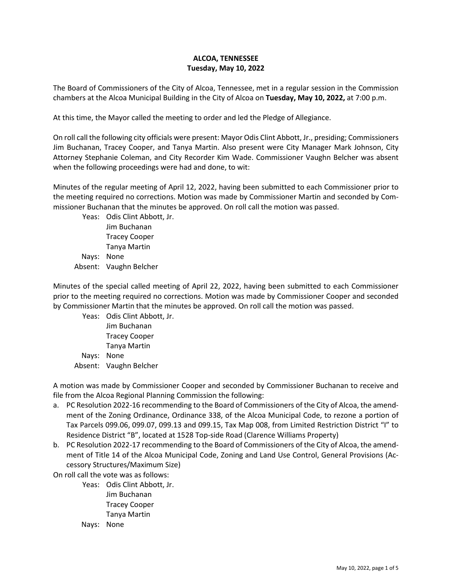## **ALCOA, TENNESSEE Tuesday, May 10, 2022**

The Board of Commissioners of the City of Alcoa, Tennessee, met in a regular session in the Commission chambers at the Alcoa Municipal Building in the City of Alcoa on **Tuesday, May 10, 2022,** at 7:00 p.m.

At this time, the Mayor called the meeting to order and led the Pledge of Allegiance.

On roll call the following city officials were present: Mayor Odis Clint Abbott, Jr., presiding; Commissioners Jim Buchanan, Tracey Cooper, and Tanya Martin. Also present were City Manager Mark Johnson, City Attorney Stephanie Coleman, and City Recorder Kim Wade. Commissioner Vaughn Belcher was absent when the following proceedings were had and done, to wit:

Minutes of the regular meeting of April 12, 2022, having been submitted to each Commissioner prior to the meeting required no corrections. Motion was made by Commissioner Martin and seconded by Commissioner Buchanan that the minutes be approved. On roll call the motion was passed.

Yeas: Odis Clint Abbott, Jr. Jim Buchanan Tracey Cooper Tanya Martin Nays: None Absent: Vaughn Belcher

Minutes of the special called meeting of April 22, 2022, having been submitted to each Commissioner prior to the meeting required no corrections. Motion was made by Commissioner Cooper and seconded by Commissioner Martin that the minutes be approved. On roll call the motion was passed.

Yeas: Odis Clint Abbott, Jr. Jim Buchanan Tracey Cooper Tanya Martin Nays: None Absent: Vaughn Belcher

A motion was made by Commissioner Cooper and seconded by Commissioner Buchanan to receive and file from the Alcoa Regional Planning Commission the following:

- a. PC Resolution 2022-16 recommending to the Board of Commissioners of the City of Alcoa, the amendment of the Zoning Ordinance, Ordinance 338, of the Alcoa Municipal Code, to rezone a portion of Tax Parcels 099.06, 099.07, 099.13 and 099.15, Tax Map 008, from Limited Restriction District "I" to Residence District "B", located at 1528 Top-side Road (Clarence Williams Property)
- b. PC Resolution 2022-17 recommending to the Board of Commissioners of the City of Alcoa, the amendment of Title 14 of the Alcoa Municipal Code, Zoning and Land Use Control, General Provisions (Accessory Structures/Maximum Size)

On roll call the vote was as follows:

- Yeas: Odis Clint Abbott, Jr. Jim Buchanan Tracey Cooper Tanya Martin
- Nays: None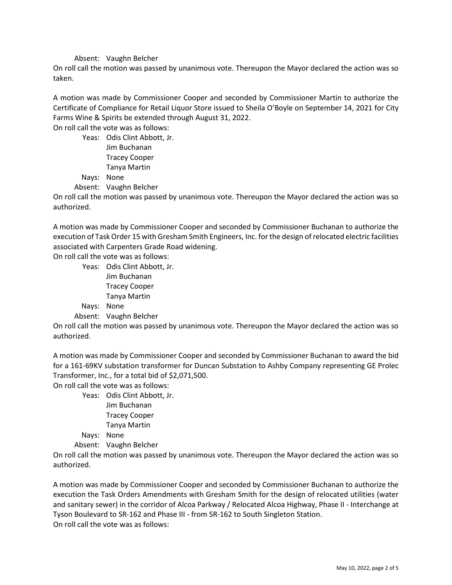## Absent: Vaughn Belcher

On roll call the motion was passed by unanimous vote. Thereupon the Mayor declared the action was so taken.

A motion was made by Commissioner Cooper and seconded by Commissioner Martin to authorize the Certificate of Compliance for Retail Liquor Store issued to Sheila O'Boyle on September 14, 2021 for City Farms Wine & Spirits be extended through August 31, 2022.

On roll call the vote was as follows:

Yeas: Odis Clint Abbott, Jr. Jim Buchanan Tracey Cooper Tanya Martin Nays: None

Absent: Vaughn Belcher

On roll call the motion was passed by unanimous vote. Thereupon the Mayor declared the action was so authorized.

A motion was made by Commissioner Cooper and seconded by Commissioner Buchanan to authorize the execution of Task Order 15 with Gresham Smith Engineers, Inc. for the design of relocated electric facilities associated with Carpenters Grade Road widening.

On roll call the vote was as follows:

Yeas: Odis Clint Abbott, Jr. Jim Buchanan Tracey Cooper Tanya Martin Nays: None

Absent: Vaughn Belcher

On roll call the motion was passed by unanimous vote. Thereupon the Mayor declared the action was so authorized.

A motion was made by Commissioner Cooper and seconded by Commissioner Buchanan to award the bid for a 161-69KV substation transformer for Duncan Substation to Ashby Company representing GE Prolec Transformer, Inc., for a total bid of \$2,071,500.

On roll call the vote was as follows:

Yeas: Odis Clint Abbott, Jr. Jim Buchanan Tracey Cooper Tanya Martin

Nays: None

Absent: Vaughn Belcher

On roll call the motion was passed by unanimous vote. Thereupon the Mayor declared the action was so authorized.

A motion was made by Commissioner Cooper and seconded by Commissioner Buchanan to authorize the execution the Task Orders Amendments with Gresham Smith for the design of relocated utilities (water and sanitary sewer) in the corridor of Alcoa Parkway / Relocated Alcoa Highway, Phase II - Interchange at Tyson Boulevard to SR-162 and Phase III - from SR-162 to South Singleton Station. On roll call the vote was as follows: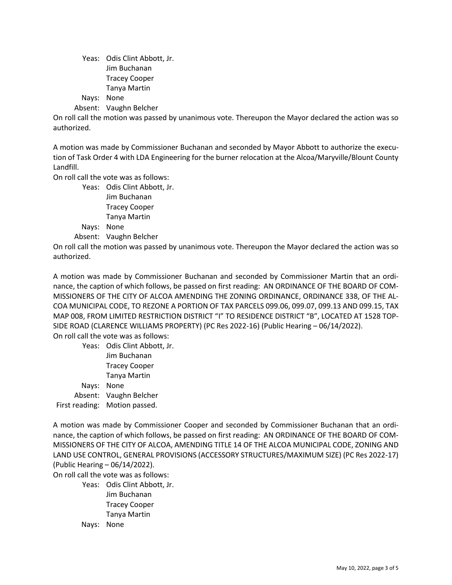Yeas: Odis Clint Abbott, Jr. Jim Buchanan Tracey Cooper Tanya Martin Nays: None

Absent: Vaughn Belcher

On roll call the motion was passed by unanimous vote. Thereupon the Mayor declared the action was so authorized.

A motion was made by Commissioner Buchanan and seconded by Mayor Abbott to authorize the execution of Task Order 4 with LDA Engineering for the burner relocation at the Alcoa/Maryville/Blount County Landfill.

On roll call the vote was as follows:

Yeas: Odis Clint Abbott, Jr. Jim Buchanan Tracey Cooper Tanya Martin Nays: None Absent: Vaughn Belcher

On roll call the motion was passed by unanimous vote. Thereupon the Mayor declared the action was so authorized.

A motion was made by Commissioner Buchanan and seconded by Commissioner Martin that an ordinance, the caption of which follows, be passed on first reading: AN ORDINANCE OF THE BOARD OF COM-MISSIONERS OF THE CITY OF ALCOA AMENDING THE ZONING ORDINANCE, ORDINANCE 338, OF THE AL-COA MUNICIPAL CODE, TO REZONE A PORTION OF TAX PARCELS 099.06, 099.07, 099.13 AND 099.15, TAX MAP 008, FROM LIMITED RESTRICTION DISTRICT "I" TO RESIDENCE DISTRICT "B", LOCATED AT 1528 TOP-SIDE ROAD (CLARENCE WILLIAMS PROPERTY) (PC Res 2022-16) (Public Hearing – 06/14/2022). On roll call the vote was as follows:

Yeas: Odis Clint Abbott, Jr. Jim Buchanan Tracey Cooper Tanya Martin Nays: None Absent: Vaughn Belcher First reading: Motion passed.

A motion was made by Commissioner Cooper and seconded by Commissioner Buchanan that an ordinance, the caption of which follows, be passed on first reading: AN ORDINANCE OF THE BOARD OF COM-MISSIONERS OF THE CITY OF ALCOA, AMENDING TITLE 14 OF THE ALCOA MUNICIPAL CODE, ZONING AND LAND USE CONTROL, GENERAL PROVISIONS (ACCESSORY STRUCTURES/MAXIMUM SIZE) (PC Res 2022-17) (Public Hearing – 06/14/2022).

On roll call the vote was as follows:

Yeas: Odis Clint Abbott, Jr. Jim Buchanan Tracey Cooper Tanya Martin Nays: None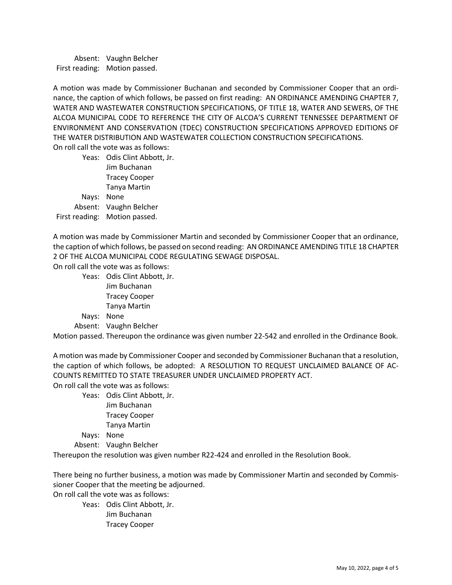Absent: Vaughn Belcher First reading: Motion passed.

A motion was made by Commissioner Buchanan and seconded by Commissioner Cooper that an ordinance, the caption of which follows, be passed on first reading: AN ORDINANCE AMENDING CHAPTER 7, WATER AND WASTEWATER CONSTRUCTION SPECIFICATIONS, OF TITLE 18, WATER AND SEWERS, OF THE ALCOA MUNICIPAL CODE TO REFERENCE THE CITY OF ALCOA'S CURRENT TENNESSEE DEPARTMENT OF ENVIRONMENT AND CONSERVATION (TDEC) CONSTRUCTION SPECIFICATIONS APPROVED EDITIONS OF THE WATER DISTRIBUTION AND WASTEWATER COLLECTION CONSTRUCTION SPECIFICATIONS. On roll call the vote was as follows:

Yeas: Odis Clint Abbott, Jr. Jim Buchanan Tracey Cooper Tanya Martin Nays: None Absent: Vaughn Belcher First reading: Motion passed.

A motion was made by Commissioner Martin and seconded by Commissioner Cooper that an ordinance, the caption of which follows, be passed on second reading: AN ORDINANCE AMENDING TITLE 18 CHAPTER 2 OF THE ALCOA MUNICIPAL CODE REGULATING SEWAGE DISPOSAL.

On roll call the vote was as follows:

Yeas: Odis Clint Abbott, Jr. Jim Buchanan Tracey Cooper Tanya Martin Nays: None

Absent: Vaughn Belcher

Motion passed. Thereupon the ordinance was given number 22-542 and enrolled in the Ordinance Book.

A motion was made by Commissioner Cooper and seconded by Commissioner Buchanan that a resolution, the caption of which follows, be adopted: A RESOLUTION TO REQUEST UNCLAIMED BALANCE OF AC-COUNTS REMITTED TO STATE TREASURER UNDER UNCLAIMED PROPERTY ACT.

On roll call the vote was as follows:

Yeas: Odis Clint Abbott, Jr. Jim Buchanan Tracey Cooper Tanya Martin Nays: None Absent: Vaughn Belcher

Thereupon the resolution was given number R22-424 and enrolled in the Resolution Book.

There being no further business, a motion was made by Commissioner Martin and seconded by Commissioner Cooper that the meeting be adjourned. On roll call the vote was as follows:

Yeas: Odis Clint Abbott, Jr.

Jim Buchanan Tracey Cooper